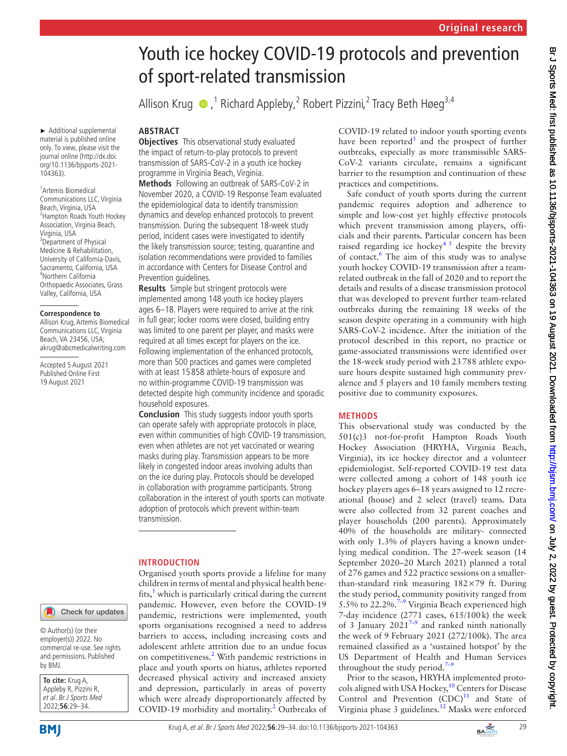# Youth ice hockey COVID-19 protocols and prevention of sport-related transmission

Allison Krug  $\bullet$  ,<sup>1</sup> Richard Appleby,<sup>2</sup> Robert Pizzini,<sup>2</sup> Tracy Beth Høeg<sup>3,4</sup>

► Additional supplemental material is published online only. To view, please visit the journal online ([http://dx.doi.](http://dx.doi.org/10.1136/bjsports-2021-104363) [org/10.1136/bjsports-2021-](http://dx.doi.org/10.1136/bjsports-2021-104363) [104363](http://dx.doi.org/10.1136/bjsports-2021-104363)).

1 Artemis Biomedical Communications LLC, Virginia Beach, Virginia, USA 2 Hampton Roads Youth Hockey Association, Virginia Beach, Virginia, USA 3 Department of Physical Medicine & Rehabilitation, University of California-Davis, Sacramento, California, USA 4 Northern California Orthopaedic Associates, Grass Valley, California, USA

#### **Correspondence to**

Allison Krug, Artemis Biomedical Communications LLC, Virginia Beach, VA 23456, USA; akrug@abcmedicalwriting.com

Accepted 5 August 2021 Published Online First 19 August 2021

# **ABSTRACT**

**Objectives** This observational study evaluated the impact of return-to-play protocols to prevent transmission of SARS-CoV-2 in a youth ice hockey programme in Virginia Beach, Virginia.

**Methods** Following an outbreak of SARS-CoV-2 in November 2020, a COVID-19 Response Team evaluated the epidemiological data to identify transmission dynamics and develop enhanced protocols to prevent transmission. During the subsequent 18-week study period, incident cases were investigated to identify the likely transmission source; testing, quarantine and isolation recommendations were provided to families in accordance with Centers for Disease Control and Prevention guidelines.

**Results** Simple but stringent protocols were implemented among 148 youth ice hockey players ages 6–18. Players were required to arrive at the rink in full gear; locker rooms were closed, building entry was limited to one parent per player, and masks were required at all times except for players on the ice. Following implementation of the enhanced protocols, more than 500 practices and games were completed with at least 15 858 athlete-hours of exposure and no within-programme COVID-19 transmission was detected despite high community incidence and sporadic household exposures.

**Conclusion** This study suggests indoor youth sports can operate safely with appropriate protocols in place, even within communities of high COVID-19 transmission, even when athletes are not yet vaccinated or wearing masks during play. Transmission appears to be more likely in congested indoor areas involving adults than on the ice during play. Protocols should be developed in collaboration with programme participants. Strong collaboration in the interest of youth sports can motivate adoption of protocols which prevent within-team transmission.

## **INTRODUCTION**

Organised youth sports provide a lifeline for many children in terms of mental and physical health benefits, $<sup>1</sup>$  $<sup>1</sup>$  $<sup>1</sup>$  which is particularly critical during the current</sup> pandemic. However, even before the COVID-19 pandemic, restrictions were implemented, youth sports organisations recognised a need to address barriers to access, including increasing costs and adolescent athlete attrition due to an undue focus on competitiveness.<sup>[2](#page-5-1)</sup> With pandemic restrictions in place and youth sports on hiatus, athletes reported decreased physical activity and increased anxiety and depression, particularly in areas of poverty which were already disproportionately affected by COVID-19 morbidity and mortality. [2](#page-5-1) Outbreaks of COVID-19 related to indoor youth sporting events have been reported<sup>[3](#page-5-2)</sup> and the prospect of further outbreaks, especially as more transmissible SARS-CoV-2 variants circulate, remains a significant barrier to the resumption and continuation of these practices and competitions.

Safe conduct of youth sports during the current pandemic requires adoption and adherence to simple and low-cost yet highly effective protocols which prevent transmission among players, officials and their parents. Particular concern has been raised regarding ice hockey<sup>45</sup> despite the brevity of contact.<sup>6</sup> The aim of this study was to analyse youth hockey COVID-19 transmission after a teamrelated outbreak in the fall of 2020 and to report the details and results of a disease transmission protocol that was developed to prevent further team-related outbreaks during the remaining 18 weeks of the season despite operating in a community with high SARS-CoV-2 incidence. After the initiation of the protocol described in this report, no practice or game-associated transmissions were identified over the 18-week study period with 23788 athlete exposure hours despite sustained high community prevalence and 5 players and 10 family members testing positive due to community exposures.

## **METHODS**

This observational study was conducted by the 501(c)3 not-for-profit Hampton Roads Youth Hockey Association (HRYHA, Virginia Beach, Virginia), its ice hockey director and a volunteer epidemiologist. Self-reported COVID-19 test data were collected among a cohort of 148 youth ice hockey players ages 6–18 years assigned to 12 recreational (house) and 2 select (travel) teams. Data were also collected from 32 parent coaches and player households (200 parents). Approximately 40% of the households are military- connected with only 1.3% of players having a known underlying medical condition. The 27-week season (14 September 2020–20 March 2021) planned a total of 276 games and 522 practice sessions on a smallerthan-standard rink measuring 182×79 ft. During the study period, community positivity ranged from 5.5% to  $22.2\%$ <sup>7-9</sup> Virginia Beach experienced high 7-day incidence (2771 cases, 615/100k) the week of 3 January  $2021^{7-9}$  and ranked ninth nationally the week of 9 February 2021 (272/100k). The area remained classified as a 'sustained hotspot' by the US Department of Health and Human Services throughout the study period. $7-9$ 

Prior to the season, HRYHA implemented protocols aligned with USA Hockey, $10$  Centers for Disease Control and Prevention  $(CDC)^{11}$  $(CDC)^{11}$  $(CDC)^{11}$  and State of Virginia phase 3 guidelines.<sup>12</sup> Masks were enforced

by BMJ.

**To cite:** Krug A, Appleby R, Pizzini R, et al. Br J Sports Med 2022;**56**:29–34.

© Author(s) (or their employer(s)) 2022. No commercial re-use. See rights and permissions. Published

Check for updates

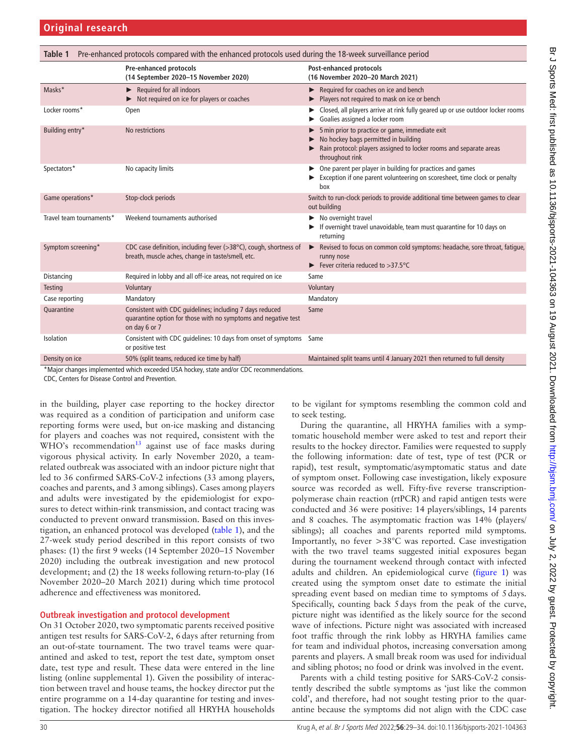<span id="page-1-0"></span>

| Pre-enhanced protocols compared with the enhanced protocols used during the 18-week surveillance period<br>Table 1 |                                                                                                                                             |                                                                                                                                                                                  |  |  |  |  |  |  |
|--------------------------------------------------------------------------------------------------------------------|---------------------------------------------------------------------------------------------------------------------------------------------|----------------------------------------------------------------------------------------------------------------------------------------------------------------------------------|--|--|--|--|--|--|
|                                                                                                                    | <b>Pre-enhanced protocols</b><br>(14 September 2020-15 November 2020)                                                                       | Post-enhanced protocols<br>(16 November 2020-20 March 2021)                                                                                                                      |  |  |  |  |  |  |
| Masks*                                                                                                             | Required for all indoors<br>▶<br>Not required on ice for players or coaches                                                                 | Required for coaches on ice and bench<br>Players not required to mask on ice or bench                                                                                            |  |  |  |  |  |  |
| Locker rooms*                                                                                                      | Open                                                                                                                                        | Closed, all players arrive at rink fully geared up or use outdoor locker rooms<br>Goalies assigned a locker room                                                                 |  |  |  |  |  |  |
| Building entry*                                                                                                    | No restrictions                                                                                                                             | 5 min prior to practice or game, immediate exit<br>No hockey bags permitted in building<br>Rain protocol: players assigned to locker rooms and separate areas<br>throughout rink |  |  |  |  |  |  |
| Spectators*                                                                                                        | No capacity limits                                                                                                                          | One parent per player in building for practices and games<br>Exception if one parent volunteering on scoresheet, time clock or penalty<br>box                                    |  |  |  |  |  |  |
| Game operations*                                                                                                   | Stop-clock periods                                                                                                                          | Switch to run-clock periods to provide additional time between games to clear<br>out building                                                                                    |  |  |  |  |  |  |
| Travel team tournaments*                                                                                           | Weekend tournaments authorised                                                                                                              | $\blacktriangleright$ No overnight travel<br>If overnight travel unavoidable, team must quarantine for 10 days on<br>returning                                                   |  |  |  |  |  |  |
| Symptom screening*                                                                                                 | CDC case definition, including fever (>38°C), cough, shortness of<br>breath, muscle aches, change in taste/smell, etc.                      | Revised to focus on common cold symptoms: headache, sore throat, fatique,<br>runny nose<br>Fever criteria reduced to $>37.5^{\circ}$ C                                           |  |  |  |  |  |  |
| Distancing                                                                                                         | Required in lobby and all off-ice areas, not required on ice                                                                                | Same                                                                                                                                                                             |  |  |  |  |  |  |
| <b>Testing</b>                                                                                                     | Voluntary                                                                                                                                   | Voluntary                                                                                                                                                                        |  |  |  |  |  |  |
| Case reporting                                                                                                     | Mandatory                                                                                                                                   | Mandatory                                                                                                                                                                        |  |  |  |  |  |  |
| Quarantine                                                                                                         | Consistent with CDC guidelines; including 7 days reduced<br>quarantine option for those with no symptoms and negative test<br>on day 6 or 7 | Same                                                                                                                                                                             |  |  |  |  |  |  |
| Isolation                                                                                                          | Consistent with CDC quidelines: 10 days from onset of symptoms Same<br>or positive test                                                     |                                                                                                                                                                                  |  |  |  |  |  |  |
| Density on ice                                                                                                     | 50% (split teams, reduced ice time by half)                                                                                                 | Maintained split teams until 4 January 2021 then returned to full density                                                                                                        |  |  |  |  |  |  |
| *Major changes implemented which exceeded USA hockey, state and/or CDC recommendations.                            |                                                                                                                                             |                                                                                                                                                                                  |  |  |  |  |  |  |

CDC, Centers for Disease Control and Prevention.

in the building, player case reporting to the hockey director was required as a condition of participation and uniform case reporting forms were used, but on-ice masking and distancing for players and coaches was not required, consistent with the  $WHO's$  recommendation<sup>13</sup> against use of face masks during vigorous physical activity. In early November 2020, a teamrelated outbreak was associated with an indoor picture night that led to 36 confirmed SARS-CoV-2 infections (33 among players, coaches and parents, and 3 among siblings). Cases among players and adults were investigated by the epidemiologist for exposures to detect within-rink transmission, and contact tracing was conducted to prevent onward transmission. Based on this investigation, an enhanced protocol was developed [\(table](#page-1-0) 1), and the 27-week study period described in this report consists of two phases: (1) the first 9 weeks (14 September 2020–15 November 2020) including the outbreak investigation and new protocol development; and (2) the 18 weeks following return-to-play (16 November 2020–20 March 2021) during which time protocol adherence and effectiveness was monitored.

#### **Outbreak investigation and protocol development**

On 31 October 2020, two symptomatic parents received positive antigen test results for SARS-CoV-2, 6days after returning from an out-of-state tournament. The two travel teams were quarantined and asked to test, report the test date, symptom onset date, test type and result. These data were entered in the line listing [\(online supplemental 1](https://dx.doi.org/10.1136/bjsports-2021-104363)). Given the possibility of interaction between travel and house teams, the hockey director put the entire programme on a 14-day quarantine for testing and investigation. The hockey director notified all HRYHA households

to be vigilant for symptoms resembling the common cold and to seek testing.

During the quarantine, all HRYHA families with a symptomatic household member were asked to test and report their results to the hockey director. Families were requested to supply the following information: date of test, type of test (PCR or rapid), test result, symptomatic/asymptomatic status and date of symptom onset. Following case investigation, likely exposure source was recorded as well. Fifty-five reverse transcriptionpolymerase chain reaction (rtPCR) and rapid antigen tests were conducted and 36 were positive: 14 players/siblings, 14 parents and 8 coaches. The asymptomatic fraction was 14% (players/ siblings); all coaches and parents reported mild symptoms. Importantly, no fever >38°C was reported. Case investigation with the two travel teams suggested initial exposures began during the tournament weekend through contact with infected adults and children. An epidemiological curve ([figure](#page-2-0) 1) was created using the symptom onset date to estimate the initial spreading event based on median time to symptoms of 5days. Specifically, counting back 5days from the peak of the curve, picture night was identified as the likely source for the second wave of infections. Picture night was associated with increased foot traffic through the rink lobby as HRYHA families came for team and individual photos, increasing conversation among parents and players. A small break room was used for individual and sibling photos; no food or drink was involved in the event.

Parents with a child testing positive for SARS-CoV-2 consistently described the subtle symptoms as 'just like the common cold', and therefore, had not sought testing prior to the quarantine because the symptoms did not align with the CDC case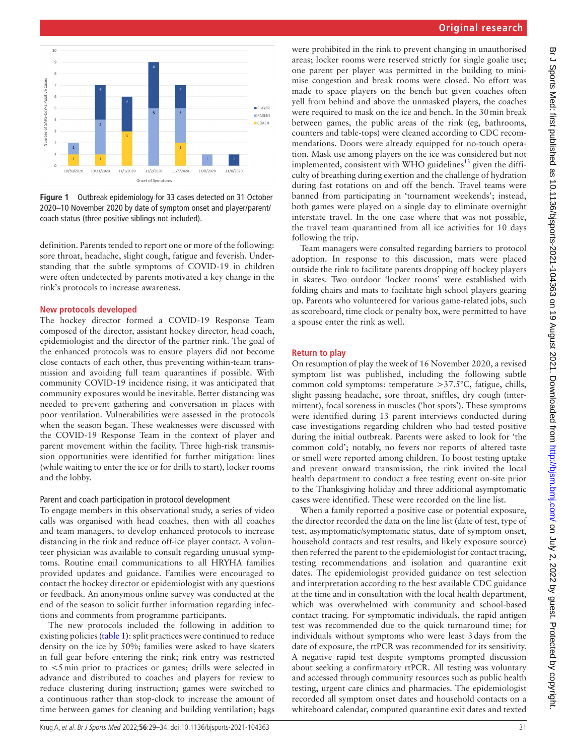

<span id="page-2-0"></span>**Figure 1** Outbreak epidemiology for 33 cases detected on 31 October 2020–10 November 2020 by date of symptom onset and player/parent/ coach status (three positive siblings not included).

definition. Parents tended to report one or more of the following: sore throat, headache, slight cough, fatigue and feverish. Understanding that the subtle symptoms of COVID-19 in children were often undetected by parents motivated a key change in the rink's protocols to increase awareness.

#### **New protocols developed**

The hockey director formed a COVID-19 Response Team composed of the director, assistant hockey director, head coach, epidemiologist and the director of the partner rink. The goal of the enhanced protocols was to ensure players did not become close contacts of each other, thus preventing within-team transmission and avoiding full team quarantines if possible. With community COVID-19 incidence rising, it was anticipated that community exposures would be inevitable. Better distancing was needed to prevent gathering and conversation in places with poor ventilation. Vulnerabilities were assessed in the protocols when the season began. These weaknesses were discussed with the COVID-19 Response Team in the context of player and parent movement within the facility. Three high-risk transmission opportunities were identified for further mitigation: lines (while waiting to enter the ice or for drills to start), locker rooms and the lobby.

#### Parent and coach participation in protocol development

To engage members in this observational study, a series of video calls was organised with head coaches, then with all coaches and team managers, to develop enhanced protocols to increase distancing in the rink and reduce off-ice player contact. A volunteer physician was available to consult regarding unusual symptoms. Routine email communications to all HRYHA families provided updates and guidance. Families were encouraged to contact the hockey director or epidemiologist with any questions or feedback. An anonymous online survey was conducted at the end of the season to solicit further information regarding infections and comments from programme participants.

The new protocols included the following in addition to existing policies [\(table](#page-1-0) 1): split practices were continued to reduce density on the ice by 50%; families were asked to have skaters in full gear before entering the rink; rink entry was restricted to <5min prior to practices or games; drills were selected in advance and distributed to coaches and players for review to reduce clustering during instruction; games were switched to a continuous rather than stop-clock to increase the amount of time between games for cleaning and building ventilation; bags

were prohibited in the rink to prevent changing in unauthorised areas; locker rooms were reserved strictly for single goalie use; one parent per player was permitted in the building to minimise congestion and break rooms were closed. No effort was made to space players on the bench but given coaches often yell from behind and above the unmasked players, the coaches were required to mask on the ice and bench. In the 30min break between games, the public areas of the rink (eg, bathrooms, counters and table-tops) were cleaned according to CDC recommendations. Doors were already equipped for no-touch operation. Mask use among players on the ice was considered but not implemented, consistent with WHO guidelines<sup>[13](#page-5-9)</sup> given the difficulty of breathing during exertion and the challenge of hydration during fast rotations on and off the bench. Travel teams were banned from participating in 'tournament weekends'; instead, both games were played on a single day to eliminate overnight interstate travel. In the one case where that was not possible, the travel team quarantined from all ice activities for 10 days following the trip.

Team managers were consulted regarding barriers to protocol adoption. In response to this discussion, mats were placed outside the rink to facilitate parents dropping off hockey players in skates. Two outdoor 'locker rooms' were established with folding chairs and mats to facilitate high school players gearing up. Parents who volunteered for various game-related jobs, such as scoreboard, time clock or penalty box, were permitted to have a spouse enter the rink as well.

#### **Return to play**

On resumption of play the week of 16 November 2020, a revised symptom list was published, including the following subtle common cold symptoms: temperature >37.5°C, fatigue, chills, slight passing headache, sore throat, sniffles, dry cough (intermittent), focal soreness in muscles ('hot spots'). These symptoms were identified during 13 parent interviews conducted during case investigations regarding children who had tested positive during the initial outbreak. Parents were asked to look for 'the common cold'; notably, no fevers nor reports of altered taste or smell were reported among children. To boost testing uptake and prevent onward transmission, the rink invited the local health department to conduct a free testing event on-site prior to the Thanksgiving holiday and three additional asymptomatic cases were identified. These were recorded on the line list.

When a family reported a positive case or potential exposure, the director recorded the data on the line list (date of test, type of test, asymptomatic/symptomatic status, date of symptom onset, household contacts and test results, and likely exposure source) then referred the parent to the epidemiologist for contact tracing, testing recommendations and isolation and quarantine exit dates. The epidemiologist provided guidance on test selection and interpretation according to the best available CDC guidance at the time and in consultation with the local health department, which was overwhelmed with community and school-based contact tracing. For symptomatic individuals, the rapid antigen test was recommended due to the quick turnaround time; for individuals without symptoms who were least 3days from the date of exposure, the rtPCR was recommended for its sensitivity. A negative rapid test despite symptoms prompted discussion about seeking a confirmatory rtPCR. All testing was voluntary and accessed through community resources such as public health testing, urgent care clinics and pharmacies. The epidemiologist recorded all symptom onset dates and household contacts on a whiteboard calendar, computed quarantine exit dates and texted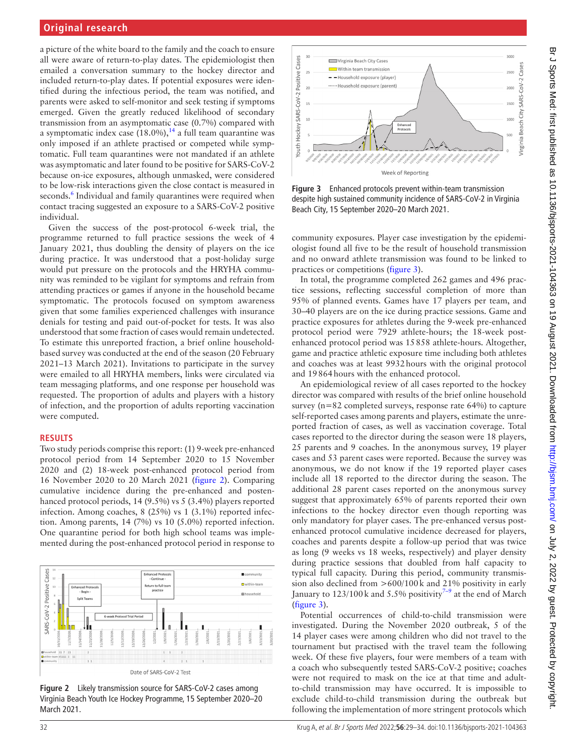# **Original research**

a picture of the white board to the family and the coach to ensure all were aware of return-to-play dates. The epidemiologist then emailed a conversation summary to the hockey director and included return-to-play dates. If potential exposures were identified during the infectious period, the team was notified, and parents were asked to self-monitor and seek testing if symptoms emerged. Given the greatly reduced likelihood of secondary transmission from an asymptomatic case (0.7%) compared with a symptomatic index case  $(18.0\%)$ ,<sup>14</sup> a full team quarantine was only imposed if an athlete practised or competed while symptomatic. Full team quarantines were not mandated if an athlete was asymptomatic and later found to be positive for SARS-CoV-2 because on-ice exposures, although unmasked, were considered to be low-risk interactions given the close contact is measured in seconds.<sup>6</sup> Individual and family quarantines were required when contact tracing suggested an exposure to a SARS-CoV-2 positive individual.

Given the success of the post-protocol 6-week trial, the programme returned to full practice sessions the week of 4 January 2021, thus doubling the density of players on the ice during practice. It was understood that a post-holiday surge would put pressure on the protocols and the HRYHA community was reminded to be vigilant for symptoms and refrain from attending practices or games if anyone in the household became symptomatic. The protocols focused on symptom awareness given that some families experienced challenges with insurance denials for testing and paid out-of-pocket for tests. It was also understood that some fraction of cases would remain undetected. To estimate this unreported fraction, a brief online householdbased survey was conducted at the end of the season (20 February 2021–13 March 2021). Invitations to participate in the survey were emailed to all HRYHA members, links were circulated via team messaging platforms, and one response per household was requested. The proportion of adults and players with a history of infection, and the proportion of adults reporting vaccination were computed.

#### **RESULTS**

Two study periods comprise this report: (1) 9-week pre-enhanced protocol period from 14 September 2020 to 15 November 2020 and (2) 18-week post-enhanced protocol period from 16 November 2020 to 20 March 2021 ([figure](#page-3-0) 2). Comparing cumulative incidence during the pre-enhanced and postenhanced protocol periods, 14 (9.5%) vs 5 (3.4%) players reported infection. Among coaches, 8 (25%) vs 1 (3.1%) reported infection. Among parents, 14 (7%) vs 10 (5.0%) reported infection. One quarantine period for both high school teams was implemented during the post-enhanced protocol period in response to



<span id="page-3-0"></span>**Figure 2** Likely transmission source for SARS-CoV-2 cases among Virginia Beach Youth Ice Hockey Programme, 15 September 2020–20 March 2021.



<span id="page-3-1"></span>**Figure 3** Enhanced protocols prevent within-team transmission despite high sustained community incidence of SARS-CoV-2 in Virginia Beach City, 15 September 2020–20 March 2021.

community exposures. Player case investigation by the epidemiologist found all five to be the result of household transmission and no onward athlete transmission was found to be linked to practices or competitions [\(figure](#page-3-1) 3).

In total, the programme completed 262 games and 496 practice sessions, reflecting successful completion of more than 95% of planned events. Games have 17 players per team, and 30–40 players are on the ice during practice sessions. Game and practice exposures for athletes during the 9-week pre-enhanced protocol period were 7929 athlete-hours; the 18-week postenhanced protocol period was 15858 athlete-hours. Altogether, game and practice athletic exposure time including both athletes and coaches was at least 9932hours with the original protocol and 19864hours with the enhanced protocol.

An epidemiological review of all cases reported to the hockey director was compared with results of the brief online household survey (n=82 completed surveys, response rate 64%) to capture self-reported cases among parents and players, estimate the unreported fraction of cases, as well as vaccination coverage. Total cases reported to the director during the season were 18 players, 25 parents and 9 coaches. In the anonymous survey, 19 player cases and 53 parent cases were reported. Because the survey was anonymous, we do not know if the 19 reported player cases include all 18 reported to the director during the season. The additional 28 parent cases reported on the anonymous survey suggest that approximately 65% of parents reported their own infections to the hockey director even though reporting was only mandatory for player cases. The pre-enhanced versus postenhanced protocol cumulative incidence decreased for players, coaches and parents despite a follow-up period that was twice as long (9 weeks vs 18 weeks, respectively) and player density during practice sessions that doubled from half capacity to typical full capacity. During this period, community transmission also declined from >600/100k and 21% positivity in early January to  $123/100$  k and 5.5% positivity<sup>7-9</sup> at the end of March ([figure](#page-3-1) 3).

Potential occurrences of child-to-child transmission were investigated. During the November 2020 outbreak, 5 of the 14 player cases were among children who did not travel to the tournament but practised with the travel team the following week. Of these five players, four were members of a team with a coach who subsequently tested SARS-CoV-2 positive; coaches were not required to mask on the ice at that time and adultto-child transmission may have occurred. It is impossible to exclude child-to-child transmission during the outbreak but following the implementation of more stringent protocols which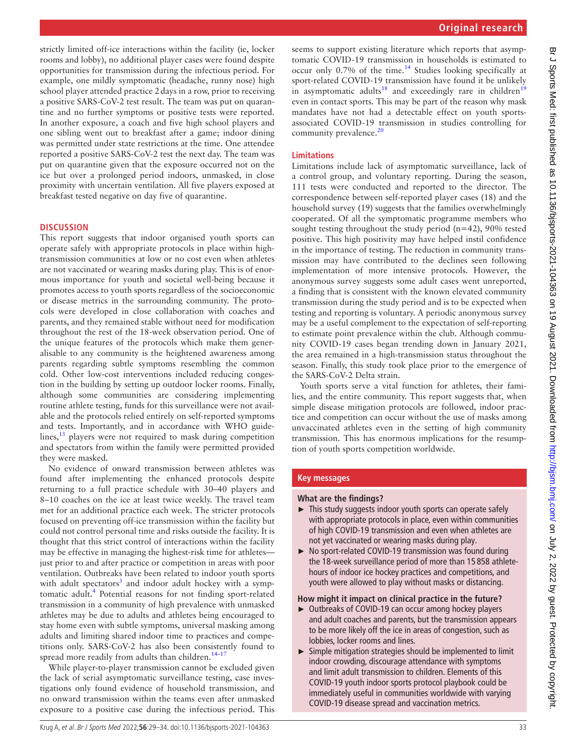strictly limited off-ice interactions within the facility (ie, locker rooms and lobby), no additional player cases were found despite opportunities for transmission during the infectious period. For example, one mildly symptomatic (headache, runny nose) high school player attended practice 2days in a row, prior to receiving a positive SARS-CoV-2 test result. The team was put on quarantine and no further symptoms or positive tests were reported. In another exposure, a coach and five high school players and one sibling went out to breakfast after a game; indoor dining was permitted under state restrictions at the time. One attendee reported a positive SARS-CoV-2 test the next day. The team was put on quarantine given that the exposure occurred not on the ice but over a prolonged period indoors, unmasked, in close proximity with uncertain ventilation. All five players exposed at breakfast tested negative on day five of quarantine.

#### **DISCUSSION**

This report suggests that indoor organised youth sports can operate safely with appropriate protocols in place within hightransmission communities at low or no cost even when athletes are not vaccinated or wearing masks during play. This is of enormous importance for youth and societal well-being because it promotes access to youth sports regardless of the socioeconomic or disease metrics in the surrounding community. The protocols were developed in close collaboration with coaches and parents, and they remained stable without need for modification throughout the rest of the 18-week observation period. One of the unique features of the protocols which make them generalisable to any community is the heightened awareness among parents regarding subtle symptoms resembling the common cold. Other low-cost interventions included reducing congestion in the building by setting up outdoor locker rooms. Finally, although some communities are considering implementing routine athlete testing, funds for this surveillance were not available and the protocols relied entirely on self-reported symptoms and tests. Importantly, and in accordance with WHO guidelines, $^{13}$  players were not required to mask during competition and spectators from within the family were permitted provided they were masked.

No evidence of onward transmission between athletes was found after implementing the enhanced protocols despite returning to a full practice schedule with 30–40 players and 8–10 coaches on the ice at least twice weekly. The travel team met for an additional practice each week. The stricter protocols focused on preventing off-ice transmission within the facility but could not control personal time and risks outside the facility. It is thought that this strict control of interactions within the facility may be effective in managing the highest-risk time for athletes just prior to and after practice or competition in areas with poor ventilation. Outbreaks have been related to indoor youth sports with adult spectators<sup>[3](#page-5-2)</sup> and indoor adult hockey with a symptomatic adult.<sup>4</sup> Potential reasons for not finding sport-related transmission in a community of high prevalence with unmasked athletes may be due to adults and athletes being encouraged to stay home even with subtle symptoms, universal masking among adults and limiting shared indoor time to practices and competitions only. SARS-CoV-2 has also been consistently found to spread more readily from adults than children. $14-17$ 

While player-to-player transmission cannot be excluded given the lack of serial asymptomatic surveillance testing, case investigations only found evidence of household transmission, and no onward transmission within the teams even after unmasked exposure to a positive case during the infectious period. This

seems to support existing literature which reports that asymptomatic COVID-19 transmission in households is estimated to occur only 0.7% of the time.[14](#page-5-10) Studies looking specifically at sport-related COVID-19 transmission have found it be unlikely in asymptomatic adults<sup>[18](#page-5-11)</sup> and exceedingly rare in children<sup>[19](#page-5-12)</sup> even in contact sports. This may be part of the reason why mask mandates have not had a detectable effect on youth sportsassociated COVID-19 transmission in studies controlling for community prevalence.<sup>[20](#page-5-13)</sup>

#### **Limitations**

Limitations include lack of asymptomatic surveillance, lack of a control group, and voluntary reporting. During the season, 111 tests were conducted and reported to the director. The correspondence between self-reported player cases (18) and the household survey (19) suggests that the families overwhelmingly cooperated. Of all the symptomatic programme members who sought testing throughout the study period  $(n=42)$ , 90% tested positive. This high positivity may have helped instil confidence in the importance of testing. The reduction in community transmission may have contributed to the declines seen following implementation of more intensive protocols. However, the anonymous survey suggests some adult cases went unreported, a finding that is consistent with the known elevated community transmission during the study period and is to be expected when testing and reporting is voluntary. A periodic anonymous survey may be a useful complement to the expectation of self-reporting to estimate point prevalence within the club. Although community COVID-19 cases began trending down in January 2021, the area remained in a high-transmission status throughout the season. Finally, this study took place prior to the emergence of the SARS-CoV-2 Delta strain.

Youth sports serve a vital function for athletes, their families, and the entire community. This report suggests that, when simple disease mitigation protocols are followed, indoor practice and competition can occur without the use of masks among unvaccinated athletes even in the setting of high community transmission. This has enormous implications for the resumption of youth sports competition worldwide.

#### **Key messages**

#### **What are the findings?**

- ► This study suggests indoor youth sports can operate safely with appropriate protocols in place, even within communities of high COVID-19 transmission and even when athletes are not yet vaccinated or wearing masks during play.
- ► No sport-related COVID-19 transmission was found during the 18-week surveillance period of more than 15 858 athletehours of indoor ice hockey practices and competitions, and youth were allowed to play without masks or distancing.

#### **How might it impact on clinical practice in the future?**

- ► Outbreaks of COVID-19 can occur among hockey players and adult coaches and parents, but the transmission appears to be more likely off the ice in areas of congestion, such as lobbies, locker rooms and lines.
- ► Simple mitigation strategies should be implemented to limit indoor crowding, discourage attendance with symptoms and limit adult transmission to children. Elements of this COVID-19 youth indoor sports protocol playbook could be immediately useful in communities worldwide with varying COVID-19 disease spread and vaccination metrics.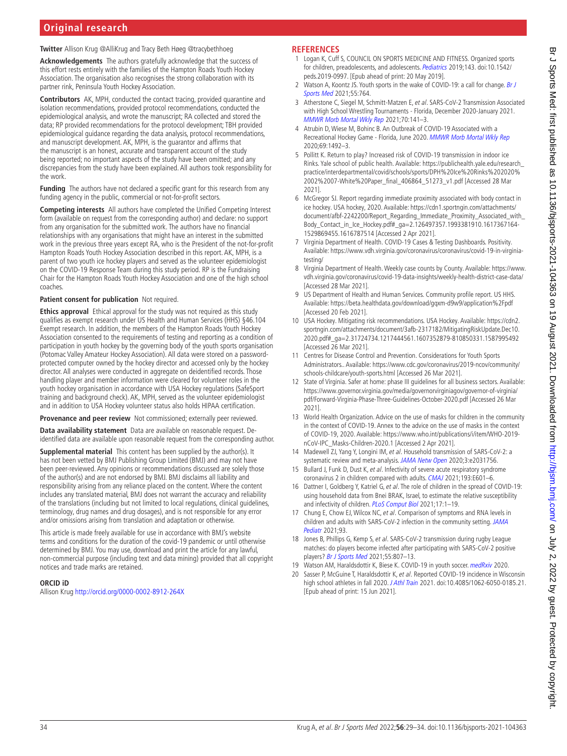# **Original research**

**Twitter** Allison Krug [@AlliKrug](https://twitter.com/AlliKrug) and Tracy Beth Høeg [@tracybethhoeg](https://twitter.com/tracybethhoeg)

**Acknowledgements** The authors gratefully acknowledge that the success of this effort rests entirely with the families of the Hampton Roads Youth Hockey Association. The organisation also recognises the strong collaboration with its partner rink, Peninsula Youth Hockey Association.

**Contributors** AK, MPH, conducted the contact tracing, provided quarantine and isolation recommendations, provided protocol recommendations, conducted the epidemiological analysis, and wrote the manuscript; RA collected and stored the data; RP provided recommendations for the protocol development; TBH provided epidemiological guidance regarding the data analysis, protocol recommendations, and manuscript development. AK, MPH, is the guarantor and affirms that the manuscript is an honest, accurate and transparent account of the study being reported; no important aspects of the study have been omitted; and any discrepancies from the study have been explained. All authors took responsibility for the work.

**Funding** The authors have not declared a specific grant for this research from any funding agency in the public, commercial or not-for-profit sectors.

**Competing interests** All authors have completed the Unified Competing Interest form (available on request from the corresponding author) and declare: no support from any organisation for the submitted work. The authors have no financial relationships with any organisations that might have an interest in the submitted work in the previous three years except RA, who is the President of the not-for-profit Hampton Roads Youth Hockey Association described in this report. AK, MPH, is a parent of two youth ice hockey players and served as the volunteer epidemiologist on the COVID-19 Response Team during this study period. RP is the Fundraising Chair for the Hampton Roads Youth Hockey Association and one of the high school coaches.

#### **Patient consent for publication** Not required.

**Ethics approval** Ethical approval for the study was not required as this study qualifies as exempt research under US Health and Human Services (HHS) §46.104 Exempt research. In addition, the members of the Hampton Roads Youth Hockey Association consented to the requirements of testing and reporting as a condition of participation in youth hockey by the governing body of the youth sports organisation (Potomac Valley Amateur Hockey Association). All data were stored on a passwordprotected computer owned by the hockey director and accessed only by the hockey director. All analyses were conducted in aggregate on deidentified records. Those handling player and member information were cleared for volunteer roles in the youth hockey organisation in accordance with USA Hockey regulations (SafeSport training and background check). AK, MPH, served as the volunteer epidemiologist and in addition to USA Hockey volunteer status also holds HIPAA certification.

**Provenance and peer review** Not commissioned; externally peer reviewed.

**Data availability statement** Data are available on reasonable request. Deidentified data are available upon reasonable request from the corresponding author.

**Supplemental material** This content has been supplied by the author(s). It has not been vetted by BMJ Publishing Group Limited (BMJ) and may not have been peer-reviewed. Any opinions or recommendations discussed are solely those of the author(s) and are not endorsed by BMJ. BMJ disclaims all liability and responsibility arising from any reliance placed on the content. Where the content includes any translated material, BMJ does not warrant the accuracy and reliability of the translations (including but not limited to local regulations, clinical guidelines, terminology, drug names and drug dosages), and is not responsible for any error and/or omissions arising from translation and adaptation or otherwise.

This article is made freely available for use in accordance with BMJ's website terms and conditions for the duration of the covid-19 pandemic or until otherwise determined by BMJ. You may use, download and print the article for any lawful, non-commercial purpose (including text and data mining) provided that all copyright notices and trade marks are retained.

#### **ORCID iD**

Allison Krug<http://orcid.org/0000-0002-8912-264X>

### **REFERENCES**

- <span id="page-5-0"></span>1 Logan K, Cuff S, COUNCIL ON SPORTS MEDICINE AND FITNESS. Organized sports for children, preadolescents, and adolescents. [Pediatrics](http://dx.doi.org/10.1542/peds.2019-0997) 2019;143. doi:10.1542/ peds.2019-0997. [Epub ahead of print: 20 May 2019].
- <span id="page-5-1"></span>2 Watson A, Koontz JS. Youth sports in the wake of COVID-19: a call for change. Br J [Sports Med](http://dx.doi.org/10.1136/bjsports-2020-103288) 2021;55:764.
- <span id="page-5-2"></span>3 Atherstone C, Siegel M, Schmitt-Matzen E, et al. SARS-CoV-2 Transmission Associated with High School Wrestling Tournaments - Florida, December 2020-January 2021. [MMWR Morb Mortal Wkly Rep](http://dx.doi.org/10.15585/mmwr.mm7004e4) 2021;70:141–3.
- <span id="page-5-3"></span>4 Atrubin D, Wiese M, Bohinc B. An Outbreak of COVID-19 Associated with a Recreational Hockey Game - Florida, June 2020. [MMWR Morb Mortal Wkly Rep](http://dx.doi.org/10.15585/mmwr.mm6941a4) 2020;69:1492–3.
- 5 Pollitt K. Return to play? Increased risk of COVID-19 transmission in indoor ice Rinks. Yale school of public health. Available: [https://publichealth.yale.edu/research\\_](https://publichealth.yale.edu/research_practice/interdepartmental/covid/schools/sports/DPH%20Ice%20Rinks%202020%2002%2007-White%20Paper_final_406864_51273_v1.pdf) [practice/interdepartmental/covid/schools/sports/DPH%20Ice%20Rinks%202020%](https://publichealth.yale.edu/research_practice/interdepartmental/covid/schools/sports/DPH%20Ice%20Rinks%202020%2002%2007-White%20Paper_final_406864_51273_v1.pdf) [2002%2007-White%20Paper\\_final\\_406864\\_51273\\_v1.pdf](https://publichealth.yale.edu/research_practice/interdepartmental/covid/schools/sports/DPH%20Ice%20Rinks%202020%2002%2007-White%20Paper_final_406864_51273_v1.pdf) [Accessed 28 Mar 2021].
- <span id="page-5-4"></span>6 McGregor SJ. Report regarding immediate proximity associated with body contact in ice hockey. USA hockey, 2020. Available: [https://cdn1.sportngin.com/attachments/](https://cdn1.sportngin.com/attachments/document/afbf-2242200/Report_Regarding_Immediate_Proximity_Associated_with_Body_Contact_in_Ice_Hockey.pdf#_ga=2.126497357.1993381910.1617367164-1529869455.1616787514) [document/afbf-2242200/Report\\_Regarding\\_Immediate\\_Proximity\\_Associated\\_with\\_](https://cdn1.sportngin.com/attachments/document/afbf-2242200/Report_Regarding_Immediate_Proximity_Associated_with_Body_Contact_in_Ice_Hockey.pdf#_ga=2.126497357.1993381910.1617367164-1529869455.1616787514) [Body\\_Contact\\_in\\_Ice\\_Hockey.pdf#\\_ga=2.126497357.1993381910.1617367164-](https://cdn1.sportngin.com/attachments/document/afbf-2242200/Report_Regarding_Immediate_Proximity_Associated_with_Body_Contact_in_Ice_Hockey.pdf#_ga=2.126497357.1993381910.1617367164-1529869455.1616787514) [1529869455.1616787514](https://cdn1.sportngin.com/attachments/document/afbf-2242200/Report_Regarding_Immediate_Proximity_Associated_with_Body_Contact_in_Ice_Hockey.pdf#_ga=2.126497357.1993381910.1617367164-1529869455.1616787514) [Accessed 2 Apr 2021].
- <span id="page-5-5"></span>7 Virginia Department of Health. COVID-19 Cases & Testing Dashboards. Positivity. Available: [https://www.vdh.virginia.gov/coronavirus/coronavirus/covid-19-in-virginia](https://www.vdh.virginia.gov/coronavirus/coronavirus/covid-19-in-virginia-testing/)[testing/](https://www.vdh.virginia.gov/coronavirus/coronavirus/covid-19-in-virginia-testing/)
- 8 Virginia Department of Health. Weekly case counts by County. Available: [https://www.](https://www.vdh.virginia.gov/coronavirus/covid-19-data-insights/weekly-health-district-case-data/) [vdh.virginia.gov/coronavirus/covid-19-data-insights/weekly-health-district-case-data/](https://www.vdh.virginia.gov/coronavirus/covid-19-data-insights/weekly-health-district-case-data/)  [Accessed 28 Mar 2021].
- 9 US Department of Health and Human Services. Community profile report. US HHS. Available:<https://beta.healthdata.gov/download/gqxm-d9w9/application%2Fpdf> [Accessed 20 Feb 2021].
- <span id="page-5-6"></span>10 USA Hockey. Mitigating risk recommendations. USA Hockey. Available: [https://cdn2.](https://cdn2.sportngin.com/attachments/document/3afb-2317182/MitigatingRiskUpdate.Dec10.2020.pdf#_ga=2.31724734.1217444561.1607352879-810850331.1587995492) [sportngin.com/attachments/document/3afb-2317182/MitigatingRiskUpdate.Dec10.](https://cdn2.sportngin.com/attachments/document/3afb-2317182/MitigatingRiskUpdate.Dec10.2020.pdf#_ga=2.31724734.1217444561.1607352879-810850331.1587995492) [2020.pdf#\\_ga=2.31724734.1217444561.1607352879-810850331.1587995492](https://cdn2.sportngin.com/attachments/document/3afb-2317182/MitigatingRiskUpdate.Dec10.2020.pdf#_ga=2.31724734.1217444561.1607352879-810850331.1587995492) [Accessed 26 Mar 2021].
- <span id="page-5-7"></span>11 Centres for Disease Control and Prevention. Considerations for Youth Sports Administrators.. Available: [https://www.cdc.gov/coronavirus/2019-ncov/community/](https://www.cdc.gov/coronavirus/2019-ncov/community/schools-childcare/youth-sports.html) [schools-childcare/youth-sports.html](https://www.cdc.gov/coronavirus/2019-ncov/community/schools-childcare/youth-sports.html) [Accessed 26 Mar 2021].
- <span id="page-5-8"></span>12 State of Virginia. Safer at home: phase III guidelines for all business sectors. Available: [https://www.governor.virginia.gov/media/governorvirginiagov/governor-of-virginia/](https://www.governor.virginia.gov/media/governorvirginiagov/governor-of-virginia/pdf/Forward-Virginia-Phase-Three-Guidelines-October-2020.pdf) [pdf/Forward-Virginia-Phase-Three-Guidelines-October-2020.pdf](https://www.governor.virginia.gov/media/governorvirginiagov/governor-of-virginia/pdf/Forward-Virginia-Phase-Three-Guidelines-October-2020.pdf) [Accessed 26 Mar 2021].
- <span id="page-5-9"></span>13 World Health Organization. Advice on the use of masks for children in the community in the context of COVID-19. Annex to the advice on the use of masks in the context of COVID-19, 2020. Available: [https://www.who.int/publications/i/item/WHO-2019](https://www.who.int/publications/i/item/WHO-2019-nCoV-IPC_Masks-Children-2020.1) [nCoV-IPC\\_Masks-Children-2020.1](https://www.who.int/publications/i/item/WHO-2019-nCoV-IPC_Masks-Children-2020.1) [Accessed 2 Apr 2021].
- <span id="page-5-10"></span>14 Madewell ZJ, Yang Y, Longini IM, et al. Household transmission of SARS-CoV-2: a systematic review and meta-analysis. [JAMA Netw Open](http://dx.doi.org/10.1001/jamanetworkopen.2020.31756) 2020;3:e2031756.
- 15 Bullard J, Funk D, Dust K, et al. Infectivity of severe acute respiratory syndrome coronavirus 2 in children compared with adults. [CMAJ](http://dx.doi.org/10.1503/cmaj.210263) 2021;193:E601-6.
- 16 Dattner I, Goldberg Y, Katriel G, et al. The role of children in the spread of COVID-19: using household data from Bnei BRAK, Israel, to estimate the relative susceptibility and infectivity of children. [PLoS Comput Biol](http://dx.doi.org/10.1371/journal.pcbi.1008559) 2021;17:1–19.
- 17 Chung E, Chow EJ, Wilcox NC, et al. Comparison of symptoms and RNA levels in children and adults with SARS-CoV-2 infection in the community setting. [JAMA](http://dx.doi.org/10.1001/jamapediatrics.2021.2025)  [Pediatr](http://dx.doi.org/10.1001/jamapediatrics.2021.2025) 2021;93.
- <span id="page-5-11"></span>18 Jones B, Phillips G, Kemp S, et al. SARS-CoV-2 transmission during rugby League matches: do players become infected after participating with SARS-CoV-2 positive players? [Br J Sports Med](http://dx.doi.org/10.1136/bjsports-2020-103714) 2021;55:807–13.
- <span id="page-5-12"></span>19 Watson AM, Haraldsdottir K, Biese K. COVID-19 in youth soccer. [medRxiv](http://dx.doi.org/2020.09.25.20201616) 2020.
- <span id="page-5-13"></span>20 Sasser P, McGuine T, Haraldsdottir K, et al. Reported COVID-19 incidence in Wisconsin high school athletes in fall 2020. [J Athl Train](http://dx.doi.org/10.4085/1062-6050-0185.21) 2021. doi:10.4085/1062-6050-0185.21. [Epub ahead of print: 15 Jun 2021].